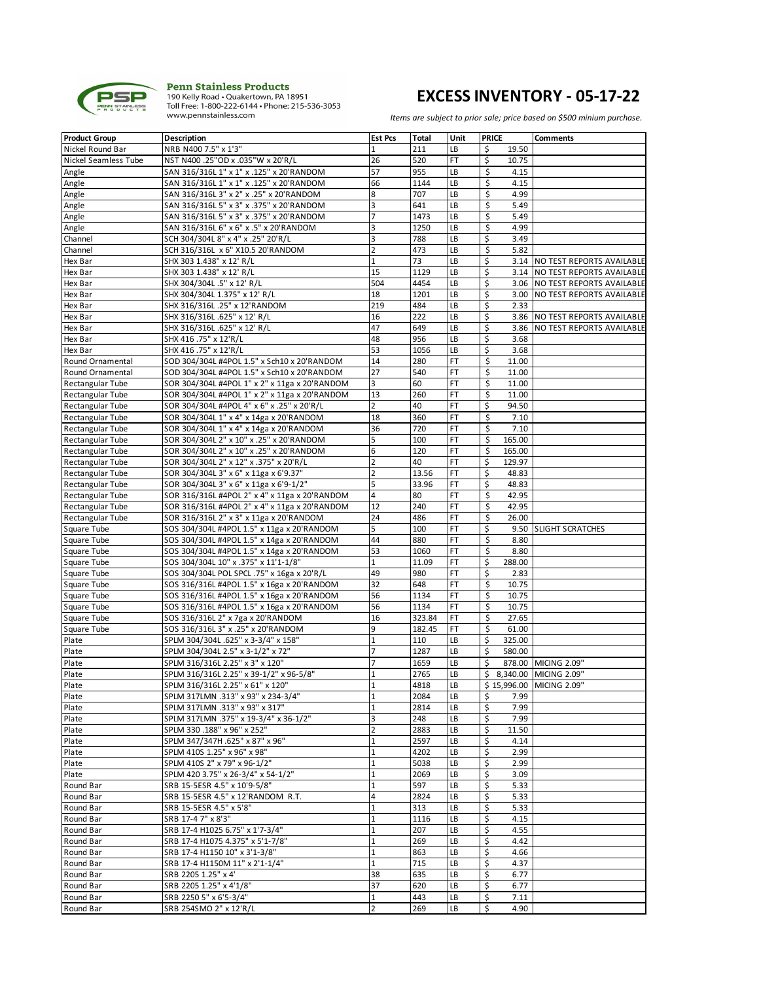

# **EXCESS INVENTORY - 05-17-22**

| <b>Product Group</b> | <b>Description</b>                            | <b>Est Pcs</b> | <b>Total</b> | Unit | <b>PRICE</b> | <b>Comments</b>                |
|----------------------|-----------------------------------------------|----------------|--------------|------|--------------|--------------------------------|
| Nickel Round Bar     | NRB N400 7.5" x 1'3"                          | $\mathbf{1}$   | 211          | LB   | \$<br>19.50  |                                |
| Nickel Seamless Tube | NST N400 .25"OD x .035"W x 20'R/L             | 26             | 520          | FT   | \$<br>10.75  |                                |
| Angle                | SAN 316/316L 1" x 1" x .125" x 20'RANDOM      | 57             | 955          | LB   | \$<br>4.15   |                                |
| Angle                | SAN 316/316L 1" x 1" x .125" x 20'RANDOM      | 66             | 1144         | LВ   | \$<br>4.15   |                                |
| Angle                | SAN 316/316L 3" x 2" x .25" x 20'RANDOM       | 8              | 707          | LB   | \$<br>4.99   |                                |
| Angle                | SAN 316/316L 5" x 3" x .375" x 20'RANDOM      | 3              | 641          | LB   | \$<br>5.49   |                                |
| Angle                | SAN 316/316L 5" x 3" x .375" x 20'RANDOM      | $\overline{7}$ | 1473         | LB   | \$<br>5.49   |                                |
| Angle                | SAN 316/316L 6" x 6" x .5" x 20'RANDOM        | 3              | 1250         | LB   | \$<br>4.99   |                                |
| Channel              | SCH 304/304L 8" x 4" x .25" 20'R/L            | 3              | 788          | LВ   | \$<br>3.49   |                                |
| Channel              | SCH 316/316L x 6" X10.5 20'RANDOM             | $\overline{2}$ | 473          | LB   | \$<br>5.82   |                                |
| Hex Bar              | SHX 303 1.438" x 12' R/L                      | $\mathbf 1$    | 73           | LB   | \$           | 3.14 NO TEST REPORTS AVAILABLE |
| Hex Bar              | SHX 303 1.438" x 12' R/L                      | 15             | 1129         | LB   | \$           | 3.14 NO TEST REPORTS AVAILABLE |
| Hex Bar              | SHX 304/304L .5" x 12' R/L                    | 504            | 4454         | LВ   | \$           | 3.06 NO TEST REPORTS AVAILABLE |
| Hex Bar              |                                               |                | 1201         | LВ   | \$           |                                |
|                      | SHX 304/304L 1.375" x 12' R/L                 | 18             | 484          |      |              | 3.00 NO TEST REPORTS AVAILABLE |
| Hex Bar              | SHX 316/316L .25" x 12'RANDOM                 | 219            | 222          | LВ   | \$<br>2.33   |                                |
| Hex Bar              | SHX 316/316L .625" x 12' R/L                  | 16             |              | LВ   | \$           | 3.86 NO TEST REPORTS AVAILABLE |
| Hex Bar              | SHX 316/316L .625" x 12' R/L                  | 47             | 649          | LB   | \$<br>3.86   | NO TEST REPORTS AVAILABLE      |
| Hex Bar              | SHX 416 .75" x 12'R/L                         | 48             | 956          | LВ   | \$<br>3.68   |                                |
| Hex Bar              | SHX 416 .75" x 12'R/L                         | 53             | 1056         | LB   | \$<br>3.68   |                                |
| Round Ornamental     | SOD 304/304L #4POL 1.5" x Sch10 x 20'RANDOM   | 14             | 280          | FT   | \$<br>11.00  |                                |
| Round Ornamental     | SOD 304/304L #4POL 1.5" x Sch10 x 20'RANDOM   | 27             | 540          | FT   | \$<br>11.00  |                                |
| Rectangular Tube     | SOR 304/304L #4POL 1" x 2" x 11ga x 20'RANDOM | 3              | 60           | FT   | \$<br>11.00  |                                |
| Rectangular Tube     | SOR 304/304L #4POL 1" x 2" x 11ga x 20'RANDOM | 13             | 260          | FT   | \$<br>11.00  |                                |
| Rectangular Tube     | SOR 304/304L #4POL 4" x 6" x .25" x 20'R/L    | $\overline{2}$ | 40           | FT   | \$<br>94.50  |                                |
| Rectangular Tube     | SOR 304/304L 1" x 4" x 14ga x 20'RANDOM       | 18             | 360          | FT   | \$<br>7.10   |                                |
| Rectangular Tube     | SOR 304/304L 1" x 4" x 14ga x 20'RANDOM       | 36             | 720          | FT   | \$<br>7.10   |                                |
| Rectangular Tube     | SOR 304/304L 2" x 10" x .25" x 20'RANDOM      | 5              | 100          | FT   | \$<br>165.00 |                                |
| Rectangular Tube     | SOR 304/304L 2" x 10" x .25" x 20'RANDOM      | 6              | 120          | FT   | \$<br>165.00 |                                |
| Rectangular Tube     | SOR 304/304L 2" x 12" x .375" x 20'R/L        | $\mathbf 2$    | 40           | FT   | \$<br>129.97 |                                |
| Rectangular Tube     | SOR 304/304L 3" x 6" x 11ga x 6'9.37"         | $\overline{2}$ | 13.56        | FT   | \$<br>48.83  |                                |
| Rectangular Tube     | SOR 304/304L 3" x 6" x 11ga x 6'9-1/2"        | 5              | 33.96        | FT   | \$<br>48.83  |                                |
| Rectangular Tube     | SOR 316/316L #4POL 2" x 4" x 11ga x 20'RANDOM | 4              | 80           | FT   | \$<br>42.95  |                                |
| Rectangular Tube     | SOR 316/316L #4POL 2" x 4" x 11ga x 20'RANDOM | 12             | 240          | FT   | \$<br>42.95  |                                |
| Rectangular Tube     | SOR 316/316L 2" x 3" x 11ga x 20'RANDOM       | 24             | 486          | FT   | \$<br>26.00  |                                |
| Square Tube          | SOS 304/304L #4POL 1.5" x 11ga x 20'RANDOM    | 5              | 100          | FT   | \$<br>9.50   | <b>SLIGHT SCRATCHES</b>        |
| Square Tube          | SOS 304/304L #4POL 1.5" x 14ga x 20'RANDOM    | 44             | 880          | FT   | \$<br>8.80   |                                |
| Square Tube          | SOS 304/304L #4POL 1.5" x 14ga x 20'RANDOM    | 53             | 1060         | FT   | \$<br>8.80   |                                |
| Square Tube          | SOS 304/304L 10" x .375" x 11'1-1/8"          | $\mathbf 1$    | 11.09        | FT   | \$<br>288.00 |                                |
| Square Tube          | SOS 304/304L POL SPCL .75" x 16ga x 20'R/L    | 49             | 980          | FT   | \$<br>2.83   |                                |
| Square Tube          | SOS 316/316L #4POL 1.5" x 16ga x 20'RANDOM    | 32             | 648          | FT   | \$<br>10.75  |                                |
| Square Tube          | SOS 316/316L #4POL 1.5" x 16ga x 20'RANDOM    | 56             | 1134         | FT   | \$<br>10.75  |                                |
| Square Tube          | SOS 316/316L #4POL 1.5" x 16ga x 20'RANDOM    | 56             | 1134         | FT   | \$<br>10.75  |                                |
| Square Tube          | SOS 316/316L 2" x 7ga x 20'RANDOM             | 16             | 323.84       | FT   | \$<br>27.65  |                                |
| Square Tube          | SOS 316/316L 3" x .25" x 20'RANDOM            | 9              | 182.45       | FT   | \$<br>61.00  |                                |
| Plate                | SPLM 304/304L .625" x 3-3/4" x 158"           | $\mathbf 1$    | 110          | LВ   | \$<br>325.00 |                                |
| Plate                | SPLM 304/304L 2.5" x 3-1/2" x 72"             | $\overline{7}$ | 1287         | LB   | \$<br>580.00 |                                |
| Plate                | SPLM 316/316L 2.25" x 3" x 120"               | $\overline{7}$ | 1659         | LB   | \$           | 878.00 MICING 2.09"            |
| Plate                | SPLM 316/316L 2.25" x 39-1/2" x 96-5/8"       | $\mathbf{1}$   | 2765         | LB   | \$           | 8,340.00 MICING 2.09"          |
| Plate                | SPLM 316/316L 2.25" x 61" x 120"              | $\mathbf{1}$   | 4818         | LB   |              | \$15,996.00 MICING 2.09"       |
| Plate                | SPLM 317LMN .313" x 93" x 234-3/4"            | 1              | 2084         | LВ   | \$<br>7.99   |                                |
| Plate                | SPLM 317LMN .313" x 93" x 317"                | $1\,$          | 2814         | LB   | \$<br>7.99   |                                |
| Plate                | SPLM 317LMN .375" x 19-3/4" x 36-1/2"         | 3              | 248          | LВ   | \$<br>7.99   |                                |
|                      | SPLM 330 .188" x 96" x 252"                   | $\overline{2}$ | 2883         | LВ   | \$           |                                |
| Plate<br>Plate       |                                               |                |              |      | 11.50        |                                |
|                      | SPLM 347/347H .625" x 87" x 96"               | $\mathbf 1$    | 2597         | LВ   | \$<br>4.14   |                                |
| Plate                | SPLM 410S 1.25" x 96" x 98"                   | $1\,$          | 4202         | LB   | \$<br>2.99   |                                |
| Plate                | SPLM 410S 2" x 79" x 96-1/2"                  | $\mathbf 1$    | 5038         | LВ   | \$<br>2.99   |                                |
| Plate                | SPLM 420 3.75" x 26-3/4" x 54-1/2"            | $\mathbf 1$    | 2069         | LВ   | \$<br>3.09   |                                |
| Round Bar            | SRB 15-5ESR 4.5" x 10'9-5/8"                  | $\mathbf 1$    | 597          | LВ   | \$<br>5.33   |                                |
| Round Bar            | SRB 15-5ESR 4.5" x 12'RANDOM R.T.             | 4              | 2824         | LВ   | \$<br>5.33   |                                |
| Round Bar            | SRB 15-5ESR 4.5" x 5'8"                       | $\mathbf 1$    | 313          | LВ   | \$<br>5.33   |                                |
| Round Bar            | SRB 17-4 7" x 8'3"                            | $1\,$          | 1116         | LВ   | \$<br>4.15   |                                |
| Round Bar            | SRB 17-4 H1025 6.75" x 1'7-3/4"               | $\mathbf 1$    | 207          | LВ   | \$<br>4.55   |                                |
| Round Bar            | SRB 17-4 H1075 4.375" x 5'1-7/8"              | $\mathbf 1$    | 269          | LВ   | \$<br>4.42   |                                |
| Round Bar            | SRB 17-4 H1150 10" x 3'1-3/8"                 | $\mathbf 1$    | 863          | LВ   | \$<br>4.66   |                                |
| Round Bar            | SRB 17-4 H1150M 11" x 2'1-1/4"                | $\mathbf{1}$   | 715          | LВ   | \$<br>4.37   |                                |
| Round Bar            | SRB 2205 1.25" x 4'                           | 38             | 635          | LВ   | \$<br>6.77   |                                |
| Round Bar            | SRB 2205 1.25" x 4'1/8"                       | 37             | 620          | LВ   | \$<br>6.77   |                                |
| Round Bar            | SRB 2250 5" x 6'5-3/4"                        | 1              | 443          | LB   | \$<br>7.11   |                                |
| Round Bar            | SRB 254SMO 2" x 12'R/L                        | $\overline{2}$ | 269          | LB   | \$<br>4.90   |                                |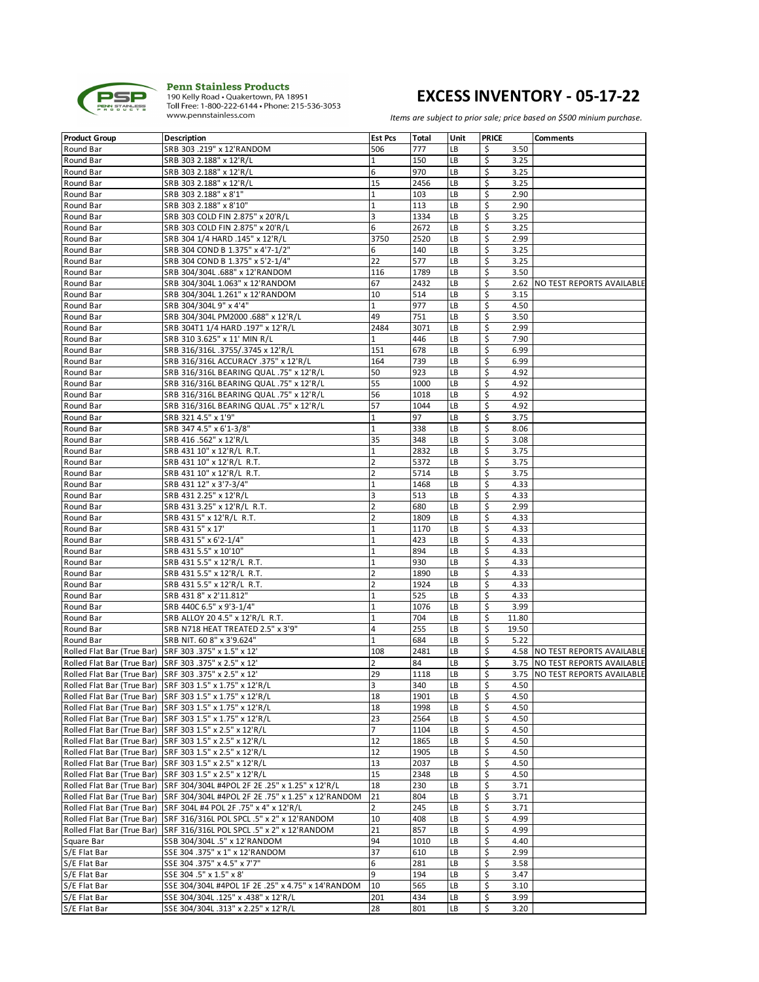

# **EXCESS INVENTORY - 05-17-22**

| <b>Product Group</b>                                  | <b>Description</b>                                                             | <b>Est Pcs</b> | Total | Unit | <b>PRICE</b> |       | <b>Comments</b>                |
|-------------------------------------------------------|--------------------------------------------------------------------------------|----------------|-------|------|--------------|-------|--------------------------------|
| Round Bar                                             | SRB 303 .219" x 12'RANDOM                                                      | 506            | 777   | LB   | \$           | 3.50  |                                |
| Round Bar                                             | SRB 303 2.188" x 12'R/L                                                        | $\mathbf 1$    | 150   | LB   | \$           | 3.25  |                                |
| Round Bar                                             | SRB 303 2.188" x 12'R/L                                                        | 6              | 970   | LB   | \$           | 3.25  |                                |
| Round Bar                                             | SRB 303 2.188" x 12'R/L                                                        | 15             | 2456  | LB   | \$           | 3.25  |                                |
| Round Bar                                             | SRB 303 2.188" x 8'1"                                                          | $1\,$          | 103   | LB   | \$           | 2.90  |                                |
| Round Bar                                             | SRB 303 2.188" x 8'10"                                                         | $\mathbf 1$    | 113   | LB   | \$           | 2.90  |                                |
| Round Bar                                             | SRB 303 COLD FIN 2.875" x 20'R/L                                               | 3              | 1334  | LB   | \$           | 3.25  |                                |
| Round Bar                                             | SRB 303 COLD FIN 2.875" x 20'R/L                                               | 6              | 2672  | LB   | \$           | 3.25  |                                |
| Round Bar                                             | SRB 304 1/4 HARD .145" x 12'R/L                                                | 3750           | 2520  | LB   | \$           | 2.99  |                                |
| Round Bar                                             | SRB 304 COND B 1.375" x 4'7-1/2"                                               | 6              | 140   | LB   |              | 3.25  |                                |
|                                                       |                                                                                | 22             | 577   | LB   | \$           |       |                                |
| Round Bar                                             | SRB 304 COND B 1.375" x 5'2-1/4"                                               |                |       |      | \$           | 3.25  |                                |
| Round Bar                                             | SRB 304/304L .688" x 12'RANDOM                                                 | 116            | 1789  | LB   | \$           | 3.50  |                                |
| Round Bar                                             | SRB 304/304L 1.063" x 12'RANDOM                                                | 67             | 2432  | LB   | \$           |       | 2.62 NO TEST REPORTS AVAILABLE |
| Round Bar                                             | SRB 304/304L 1.261" x 12'RANDOM                                                | 10             | 514   | LB   | \$           | 3.15  |                                |
| Round Bar                                             | SRB 304/304L 9" x 4'4"                                                         | $\mathbf{1}$   | 977   | LB   | \$           | 4.50  |                                |
| Round Bar                                             | SRB 304/304L PM2000 .688" x 12'R/L                                             | 49             | 751   | LB   | \$           | 3.50  |                                |
| Round Bar                                             | SRB 304T1 1/4 HARD .197" x 12'R/L                                              | 2484           | 3071  | LB   | \$           | 2.99  |                                |
| Round Bar                                             | SRB 310 3.625" x 11' MIN R/L                                                   | $\mathbf{1}$   | 446   | LB   | \$           | 7.90  |                                |
| Round Bar                                             | SRB 316/316L .3755/.3745 x 12'R/L                                              | 151            | 678   | LB   | \$           | 6.99  |                                |
| Round Bar                                             | SRB 316/316L ACCURACY .375" x 12'R/L                                           | 164            | 739   | LB   | \$           | 6.99  |                                |
| Round Bar                                             | SRB 316/316L BEARING QUAL .75" x 12'R/L                                        | 50             | 923   | LB   | \$           | 4.92  |                                |
| Round Bar                                             | SRB 316/316L BEARING QUAL .75" x 12'R/L                                        | 55             | 1000  | LB   | \$           | 4.92  |                                |
| Round Bar                                             | SRB 316/316L BEARING QUAL .75" x 12'R/L                                        | 56             | 1018  | LB   | \$           | 4.92  |                                |
| Round Bar                                             | SRB 316/316L BEARING QUAL .75" x 12'R/L                                        | 57             | 1044  | LB   | \$           | 4.92  |                                |
| Round Bar                                             | SRB 321 4.5" x 1'9"                                                            | $\mathbf 1$    | 97    | LB   | \$           | 3.75  |                                |
| Round Bar                                             | SRB 347 4.5" x 6'1-3/8"                                                        | $\mathbf 1$    | 338   | LB   | \$           | 8.06  |                                |
| Round Bar                                             | SRB 416 .562" x 12'R/L                                                         | 35             | 348   | LB   | \$           | 3.08  |                                |
| Round Bar                                             | SRB 431 10" x 12'R/L R.T.                                                      | $\mathbf 1$    | 2832  | LB   | \$           | 3.75  |                                |
| Round Bar                                             | SRB 431 10" x 12'R/L R.T.                                                      | $\mathbf 2$    | 5372  | LB   | \$           | 3.75  |                                |
| Round Bar                                             | SRB 431 10" x 12'R/L R.T.                                                      | $\overline{2}$ | 5714  | LB   | \$           | 3.75  |                                |
| Round Bar                                             | SRB 431 12" x 3'7-3/4"                                                         | $1\,$          | 1468  | LB   | \$           | 4.33  |                                |
| Round Bar                                             | SRB 431 2.25" x 12'R/L                                                         | 3              | 513   | LB   | \$           | 4.33  |                                |
| Round Bar                                             | SRB 431 3.25" x 12'R/L R.T.                                                    | $\overline{2}$ | 680   | LB   | \$           | 2.99  |                                |
| Round Bar                                             | SRB 431 5" x 12'R/L R.T.                                                       | $\overline{2}$ | 1809  | LB   |              | 4.33  |                                |
|                                                       |                                                                                |                | 1170  | LB   | \$           |       |                                |
| Round Bar                                             | SRB 431 5" x 17"                                                               | $1\,$          |       |      | \$           | 4.33  |                                |
| Round Bar                                             | SRB 431 5" x 6'2-1/4"                                                          | $1\,$          | 423   | LB   | \$           | 4.33  |                                |
| Round Bar                                             | SRB 431 5.5" x 10'10"                                                          | $\mathbf 1$    | 894   | LB   | \$           | 4.33  |                                |
| Round Bar                                             | SRB 431 5.5" x 12'R/L R.T.                                                     | $1\,$          | 930   | LB   | \$           | 4.33  |                                |
| Round Bar                                             | SRB 431 5.5" x 12'R/L R.T.                                                     | $\mathbf 2$    | 1890  | LB   | \$           | 4.33  |                                |
| Round Bar                                             | SRB 431 5.5" x 12'R/L R.T.                                                     | $\mathbf 2$    | 1924  | LB   | \$           | 4.33  |                                |
| Round Bar                                             | SRB 431 8" x 2'11.812"                                                         | $\mathbf 1$    | 525   | LB   | \$           | 4.33  |                                |
| Round Bar                                             | SRB 440C 6.5" x 9'3-1/4"                                                       | $1\,$          | 1076  | LB   | \$           | 3.99  |                                |
| Round Bar                                             | SRB ALLOY 20 4.5" x 12'R/L R.T.                                                | $\mathbf 1$    | 704   | LB   | \$           | 11.80 |                                |
| Round Bar                                             | SRB N718 HEAT TREATED 2.5" x 3'9"                                              | $\sqrt{4}$     | 255   | LB   | \$           | 19.50 |                                |
| Round Bar                                             | SRB NIT. 60 8" x 3'9.624"                                                      | $\mathbf 1$    | 684   | LB   | \$           | 5.22  |                                |
| Rolled Flat Bar (True Bar) SRF 303 .375" x 1.5" x 12' |                                                                                | 108            | 2481  | LB   | \$           |       | 4.58 NO TEST REPORTS AVAILABLE |
| Rolled Flat Bar (True Bar) SRF 303 .375" x 2.5" x 12" |                                                                                | $\overline{2}$ | 84    | LB   | \$           | 3.75  | NO TEST REPORTS AVAILABLE      |
| Rolled Flat Bar (True Bar) SRF 303 .375" x 2.5" x 12" |                                                                                | 29             | 1118  | LB   | \$           | 3.75  | NO TEST REPORTS AVAILABLE      |
|                                                       | Rolled Flat Bar (True Bar) SRF 303 1.5" x 1.75" x 12'R/L                       | $\overline{3}$ | 340   | LB   | \$           | 4.50  |                                |
|                                                       | Rolled Flat Bar (True Bar) SRF 303 1.5" x 1.75" x 12'R/L                       | 18             | 1901  | LВ   | \$           | 4.50  |                                |
|                                                       | Rolled Flat Bar (True Bar) SRF 303 1.5" x 1.75" x 12'R/L                       | 18             | 1998  | LB   | \$           | 4.50  |                                |
|                                                       | Rolled Flat Bar (True Bar) SRF 303 1.5" x 1.75" x 12'R/L                       | 23             | 2564  | LB   | \$           | 4.50  |                                |
|                                                       | Rolled Flat Bar (True Bar) SRF 303 1.5" x 2.5" x 12'R/L                        | $\overline{7}$ | 1104  | LB   | \$           | 4.50  |                                |
|                                                       | Rolled Flat Bar (True Bar) SRF 303 1.5" x 2.5" x 12'R/L                        | 12             | 1865  | LB   | \$           | 4.50  |                                |
|                                                       | Rolled Flat Bar (True Bar) SRF 303 1.5" x 2.5" x 12'R/L                        | 12             | 1905  | LB   | \$           | 4.50  |                                |
|                                                       | Rolled Flat Bar (True Bar) SRF 303 1.5" x 2.5" x 12'R/L                        | 13             | 2037  | LB   | \$           | 4.50  |                                |
|                                                       | Rolled Flat Bar (True Bar) SRF 303 1.5" x 2.5" x 12'R/L                        | 15             | 2348  | LB   | \$           | 4.50  |                                |
|                                                       |                                                                                | 18             | 230   | LB   |              | 3.71  |                                |
|                                                       | Rolled Flat Bar (True Bar) SRF 304/304L #4POL 2F 2E .25" x 1.25" x 12'R/L      |                |       |      | \$           |       |                                |
|                                                       | Rolled Flat Bar (True Bar)   SRF 304/304L #4POL 2F 2E .75" x 1.25" x 12'RANDOM | 21             | 804   | LB   | \$           | 3.71  |                                |
|                                                       | Rolled Flat Bar (True Bar) SRF 304L #4 POL 2F .75" x 4" x 12'R/L               | $\overline{2}$ | 245   | LB   | \$           | 3.71  |                                |
|                                                       | Rolled Flat Bar (True Bar) SRF 316/316L POL SPCL .5" x 2" x 12'RANDOM          | 10             | 408   | LB   | \$           | 4.99  |                                |
|                                                       | Rolled Flat Bar (True Bar) SRF 316/316L POL SPCL .5" x 2" x 12'RANDOM          | 21             | 857   | LB   | \$           | 4.99  |                                |
| Square Bar                                            | SSB 304/304L .5" x 12'RANDOM                                                   | 94             | 1010  | LB   | \$           | 4.40  |                                |
| S/E Flat Bar                                          | SSE 304 .375" x 1" x 12'RANDOM                                                 | 37             | 610   | LB   | \$           | 2.99  |                                |
| S/E Flat Bar                                          | SSE 304 .375" x 4.5" x 7'7"                                                    | 6              | 281   | LB   | \$           | 3.58  |                                |
| S/E Flat Bar                                          | SSE 304 .5" x 1.5" x 8'                                                        | 9              | 194   | LB   | \$           | 3.47  |                                |
| S/E Flat Bar                                          | SSE 304/304L #4POL 1F 2E .25" x 4.75" x 14'RANDOM                              | 10             | 565   | LB   | \$           | 3.10  |                                |
| S/E Flat Bar                                          | SSE 304/304L .125" x .438" x 12'R/L                                            | 201            | 434   | LВ   | \$           | 3.99  |                                |
| S/E Flat Bar                                          | SSE 304/304L .313" x 2.25" x 12'R/L                                            | 28             | 801   | LB   | \$           | 3.20  |                                |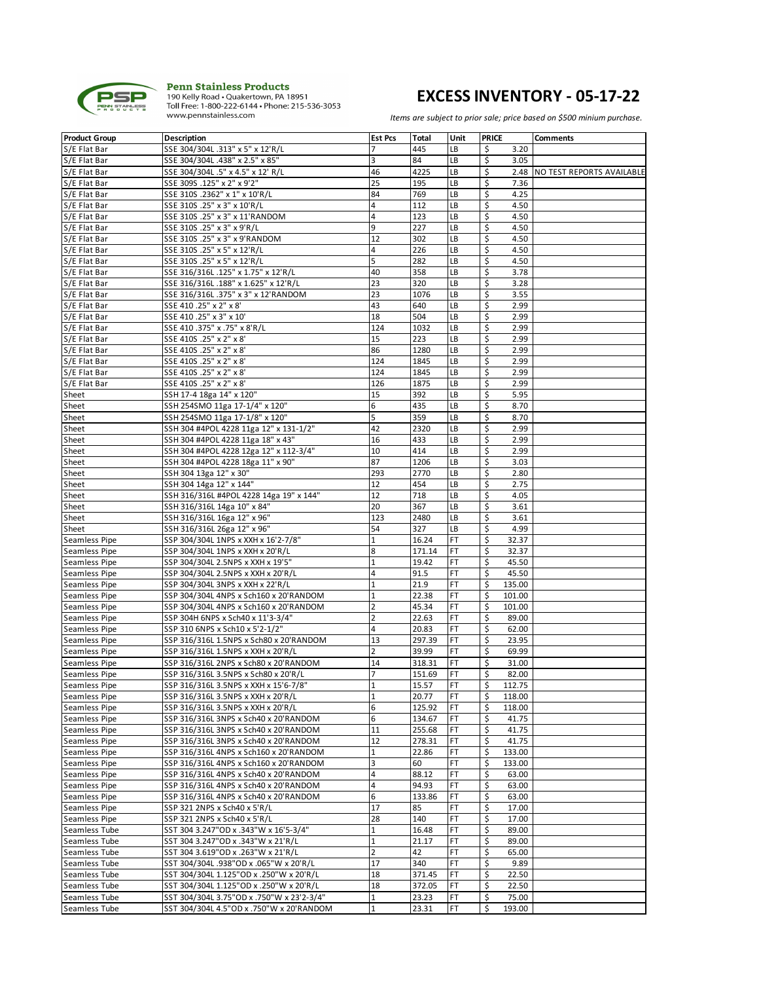

## **EXCESS INVENTORY - 05-17-22**

| <b>Product Group</b> | <b>Description</b>                        | <b>Est Pcs</b> | Total  | Unit      | <b>PRICE</b> | <b>Comments</b>                |
|----------------------|-------------------------------------------|----------------|--------|-----------|--------------|--------------------------------|
| S/E Flat Bar         | SSE 304/304L .313" x 5" x 12'R/L          | 7              | 445    | LВ        | \$<br>3.20   |                                |
| S/E Flat Bar         | SSE 304/304L .438" x 2.5" x 85"           | 3              | 84     | LB        | \$<br>3.05   |                                |
| S/E Flat Bar         | SSE 304/304L .5" x 4.5" x 12' R/L         | 46             | 4225   | LB        | \$           | 2.48 NO TEST REPORTS AVAILABLE |
| S/E Flat Bar         | SSE 309S .125" x 2" x 9'2"                | 25             | 195    | LB        | \$<br>7.36   |                                |
| S/E Flat Bar         | SSE 310S .2362" x 1" x 10'R/L             | 84             | 769    | LB        | \$<br>4.25   |                                |
| S/E Flat Bar         | SSE 310S .25" x 3" x 10'R/L               | 4              | 112    | LB        | \$<br>4.50   |                                |
|                      |                                           |                |        |           |              |                                |
| S/E Flat Bar         | SSE 310S .25" x 3" x 11'RANDOM            | 4              | 123    | LB        | \$<br>4.50   |                                |
| S/E Flat Bar         | SSE 310S .25" x 3" x 9'R/L                | 9              | 227    | LB        | \$<br>4.50   |                                |
| S/E Flat Bar         | SSE 310S .25" x 3" x 9'RANDOM             | 12             | 302    | LB        | \$<br>4.50   |                                |
| S/E Flat Bar         | SSE 310S .25" x 5" x 12'R/L               | 4              | 226    | LB        | \$<br>4.50   |                                |
| S/E Flat Bar         | SSE 310S .25" x 5" x 12'R/L               | 5              | 282    | LB        | \$<br>4.50   |                                |
| S/E Flat Bar         | SSE 316/316L .125" x 1.75" x 12'R/L       | 40             | 358    | LB        | \$<br>3.78   |                                |
| S/E Flat Bar         | SSE 316/316L .188" x 1.625" x 12'R/L      | 23             | 320    | LB        | \$<br>3.28   |                                |
| S/E Flat Bar         | SSE 316/316L .375" x 3" x 12'RANDOM       | 23             | 1076   | LB        | \$<br>3.55   |                                |
| S/E Flat Bar         | SSE 410 .25" x 2" x 8"                    | 43             | 640    | LB        | \$<br>2.99   |                                |
| S/E Flat Bar         | SSE 410 .25" x 3" x 10"                   | 18             | 504    | LB        | \$<br>2.99   |                                |
| S/E Flat Bar         | SSE 410 .375" x .75" x 8'R/L              | 124            | 1032   | LB        | \$<br>2.99   |                                |
|                      |                                           | 15             | 223    | LB        | \$<br>2.99   |                                |
| S/E Flat Bar         | SSE 410S .25" x 2" x 8"                   |                |        |           |              |                                |
| S/E Flat Bar         | SSE 410S .25" x 2" x 8"                   | 86             | 1280   | LB        | \$<br>2.99   |                                |
| S/E Flat Bar         | SSE 410S .25" x 2" x 8"                   | 124            | 1845   | LB        | \$<br>2.99   |                                |
| S/E Flat Bar         | SSE 410S .25" x 2" x 8"                   | 124            | 1845   | LB        | \$<br>2.99   |                                |
| S/E Flat Bar         | SSE 410S .25" x 2" x 8"                   | 126            | 1875   | LB        | \$<br>2.99   |                                |
| Sheet                | SSH 17-4 18ga 14" x 120"                  | 15             | 392    | LB        | \$<br>5.95   |                                |
| Sheet                | SSH 254SMO 11ga 17-1/4" x 120"            | 6              | 435    | LB        | \$<br>8.70   |                                |
| Sheet                | SSH 254SMO 11ga 17-1/8" x 120"            | 5              | 359    | LB        | \$<br>8.70   |                                |
| Sheet                | SSH 304 #4POL 4228 11ga 12" x 131-1/2"    | 42             | 2320   | LB        | \$<br>2.99   |                                |
| Sheet                | SSH 304 #4POL 4228 11ga 18" x 43"         | 16             | 433    | LB        | \$<br>2.99   |                                |
| Sheet                | SSH 304 #4POL 4228 12ga 12" x 112-3/4"    | 10             | 414    | LB        | \$<br>2.99   |                                |
| Sheet                | SSH 304 #4POL 4228 18ga 11" x 90"         | 87             | 1206   | LB        | \$<br>3.03   |                                |
| Sheet                | SSH 304 13ga 12" x 30"                    | 293            | 2770   | LB        | \$<br>2.80   |                                |
|                      |                                           |                |        |           |              |                                |
| Sheet                | SSH 304 14ga 12" x 144"                   | 12             | 454    | LB        | \$<br>2.75   |                                |
| Sheet                | SSH 316/316L #4POL 4228 14ga 19" x 144"   | 12             | 718    | LB        | \$<br>4.05   |                                |
| Sheet                | SSH 316/316L 14ga 10" x 84"               | 20             | 367    | LB        | \$<br>3.61   |                                |
| Sheet                | SSH 316/316L 16ga 12" x 96"               | 123            | 2480   | LB        | \$<br>3.61   |                                |
| Sheet                | SSH 316/316L 26ga 12" x 96"               | 54             | 327    | LB        | \$<br>4.99   |                                |
| Seamless Pipe        | SSP 304/304L 1NPS x XXH x 16'2-7/8"       | 1              | 16.24  | FT        | \$<br>32.37  |                                |
| Seamless Pipe        | SSP 304/304L 1NPS x XXH x 20'R/L          | 8              | 171.14 | FT        | \$<br>32.37  |                                |
| Seamless Pipe        | SSP 304/304L 2.5NPS x XXH x 19'5"         | 1              | 19.42  | FT        | \$<br>45.50  |                                |
| Seamless Pipe        | SSP 304/304L 2.5NPS x XXH x 20'R/L        | 4              | 91.5   | FT        | \$<br>45.50  |                                |
| Seamless Pipe        | SSP 304/304L 3NPS x XXH x 22'R/L          | 1              | 21.9   | FT        | \$<br>135.00 |                                |
| Seamless Pipe        | SSP 304/304L 4NPS x Sch160 x 20'RANDOM    | 1              | 22.38  | FT        | \$<br>101.00 |                                |
| Seamless Pipe        | SSP 304/304L 4NPS x Sch160 x 20'RANDOM    | 2              | 45.34  | FT        | \$<br>101.00 |                                |
| Seamless Pipe        | SSP 304H 6NPS x Sch40 x 11'3-3/4"         | 2              | 22.63  | FT        | \$<br>89.00  |                                |
|                      |                                           |                |        |           |              |                                |
| Seamless Pipe        | SSP 310 6NPS x Sch10 x 5'2-1/2"           | $\sqrt{4}$     | 20.83  | FT        | \$<br>62.00  |                                |
| Seamless Pipe        | SSP 316/316L 1.5NPS x Sch80 x 20'RANDOM   | 13             | 297.39 | FT        | \$<br>23.95  |                                |
| Seamless Pipe        | SSP 316/316L 1.5NPS x XXH x 20'R/L        | 2              | 39.99  | FT        | \$<br>69.99  |                                |
| Seamless Pipe        | SSP 316/316L 2NPS x Sch80 x 20'RANDOM     | 14             | 318.31 | FT        | \$<br>31.00  |                                |
| Seamless Pipe        | SSP 316/316L 3.5NPS x Sch80 x 20'R/L      | 7              | 151.69 | FT        | \$<br>82.00  |                                |
| Seamless Pipe        | SSP 316/316L 3.5NPS x XXH x 15'6-7/8"     | $\mathbf{1}$   | 15.57  | <b>FT</b> | \$<br>112.75 |                                |
| Seamless Pipe        | SSP 316/316L 3.5NPS x XXH x 20'R/L        | 1              | 20.77  | FT        | \$<br>118.00 |                                |
| Seamless Pipe        | SSP 316/316L 3.5NPS x XXH x 20'R/L        | 6              | 125.92 | FT        | \$<br>118.00 |                                |
| Seamless Pipe        | SSP 316/316L 3NPS x Sch40 x 20'RANDOM     | 6              | 134.67 | FT        | \$<br>41.75  |                                |
| Seamless Pipe        | SSP 316/316L 3NPS x Sch40 x 20'RANDOM     | 11             | 255.68 | FT        | \$<br>41.75  |                                |
| Seamless Pipe        | SSP 316/316L 3NPS x Sch40 x 20'RANDOM     | 12             | 278.31 | FT        | \$<br>41.75  |                                |
| Seamless Pipe        | SSP 316/316L 4NPS x Sch160 x 20'RANDOM    | 1              | 22.86  | FT        | \$<br>133.00 |                                |
| Seamless Pipe        | SSP 316/316L 4NPS x Sch160 x 20'RANDOM    | 3              | 60     | FT        | \$<br>133.00 |                                |
|                      |                                           |                |        |           |              |                                |
| Seamless Pipe        | SSP 316/316L 4NPS x Sch40 x 20'RANDOM     | 4              | 88.12  | FT        | \$<br>63.00  |                                |
| Seamless Pipe        | SSP 316/316L 4NPS x Sch40 x 20'RANDOM     | 4              | 94.93  | FT        | \$<br>63.00  |                                |
| Seamless Pipe        | SSP 316/316L 4NPS x Sch40 x 20'RANDOM     | 6              | 133.86 | FT        | \$<br>63.00  |                                |
| Seamless Pipe        | SSP 321 2NPS x Sch40 x 5'R/L              | 17             | 85     | FT        | \$<br>17.00  |                                |
| Seamless Pipe        | SSP 321 2NPS x Sch40 x 5'R/L              | 28             | 140    | FT        | \$<br>17.00  |                                |
| Seamless Tube        | SST 304 3.247"OD x .343"W x 16'5-3/4"     | 1              | 16.48  | FT        | \$<br>89.00  |                                |
| Seamless Tube        | SST 304 3.247"OD x .343"W x 21'R/L        | 1              | 21.17  | FT        | \$<br>89.00  |                                |
| Seamless Tube        | SST 304 3.619"OD x .263"W x 21'R/L        | 2              | 42     | FT        | \$<br>65.00  |                                |
| Seamless Tube        | SST 304/304L .938"OD x .065"W x 20'R/L    | 17             | 340    | FT        | \$<br>9.89   |                                |
| Seamless Tube        | SST 304/304L 1.125"OD x .250"W x 20'R/L   | 18             | 371.45 | FT        | \$<br>22.50  |                                |
| Seamless Tube        | SST 304/304L 1.125"OD x .250"W x 20'R/L   | 18             | 372.05 | FT        | \$<br>22.50  |                                |
| Seamless Tube        | SST 304/304L 3.75"OD x .750"W x 23'2-3/4" | 1              | 23.23  | FT        | \$<br>75.00  |                                |
| Seamless Tube        | SST 304/304L 4.5"OD x .750"W x 20'RANDOM  | 1              | 23.31  | FT.       | \$<br>193.00 |                                |
|                      |                                           |                |        |           |              |                                |